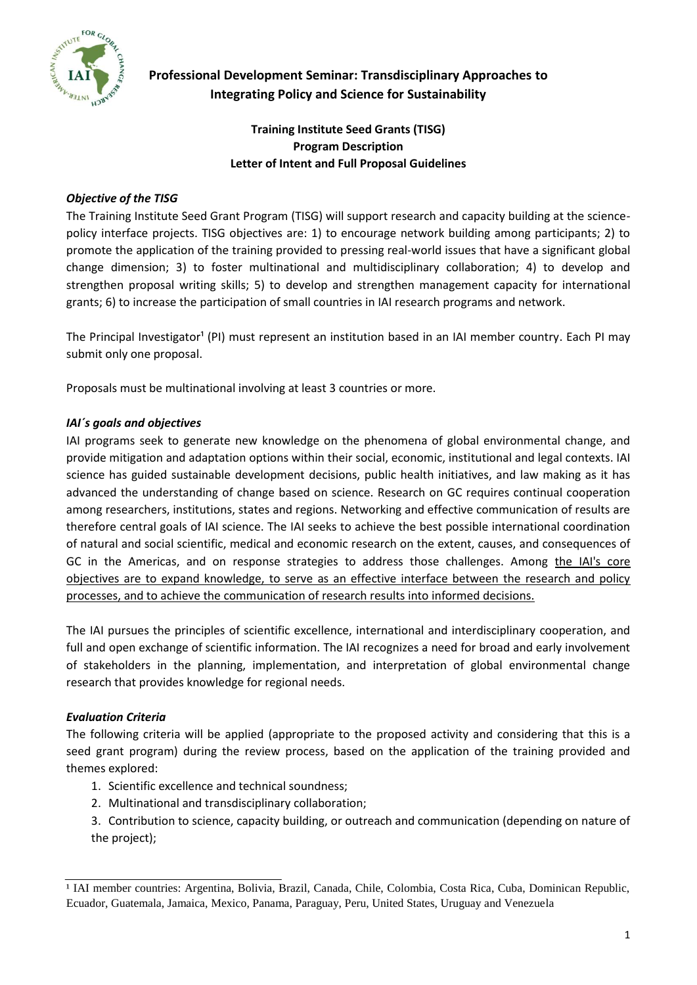

# **Professional Development Seminar: Transdisciplinary Approaches to Integrating Policy and Science for Sustainability**

# **Training Institute Seed Grants (TISG) Program Description Letter of Intent and Full Proposal Guidelines**

### *Objective of the TISG*

The Training Institute Seed Grant Program (TISG) will support research and capacity building at the sciencepolicy interface projects. TISG objectives are: 1) to encourage network building among participants; 2) to promote the application of the training provided to pressing real-world issues that have a significant global change dimension; 3) to foster multinational and multidisciplinary collaboration; 4) to develop and strengthen proposal writing skills; 5) to develop and strengthen management capacity for international grants; 6) to increase the participation of small countries in IAI research programs and network.

The Principal Investigator<sup>1</sup> (PI) must represent an institution based in an IAI member country. Each PI may submit only one proposal.

Proposals must be multinational involving at least 3 countries or more.

### *IAI´s goals and objectives*

IAI programs seek to generate new knowledge on the phenomena of global environmental change, and provide mitigation and adaptation options within their social, economic, institutional and legal contexts. IAI science has guided sustainable development decisions, public health initiatives, and law making as it has advanced the understanding of change based on science. Research on GC requires continual cooperation among researchers, institutions, states and regions. Networking and effective communication of results are therefore central goals of IAI science. The IAI seeks to achieve the best possible international coordination of natural and social scientific, medical and economic research on the extent, causes, and consequences of GC in the Americas, and on response strategies to address those challenges. Among the IAI's core objectives are to expand knowledge, to serve as an effective interface between the research and policy processes, and to achieve the communication of research results into informed decisions.

The IAI pursues the principles of scientific excellence, international and interdisciplinary cooperation, and full and open exchange of scientific information. The IAI recognizes a need for broad and early involvement of stakeholders in the planning, implementation, and interpretation of global environmental change research that provides knowledge for regional needs.

## *Evaluation Criteria*

The following criteria will be applied (appropriate to the proposed activity and considering that this is a seed grant program) during the review process, based on the application of the training provided and themes explored:

- 1. Scientific excellence and technical soundness;
- 2. Multinational and transdisciplinary collaboration;
- 3. Contribution to science, capacity building, or outreach and communication (depending on nature of the project);

<sup>&</sup>lt;sup>1</sup> IAI member countries: Argentina, Bolivia, Brazil, Canada, Chile, Colombia, Costa Rica, Cuba, Dominican Republic, Ecuador, Guatemala, Jamaica, Mexico, Panama, Paraguay, Peru, United States, Uruguay and Venezuela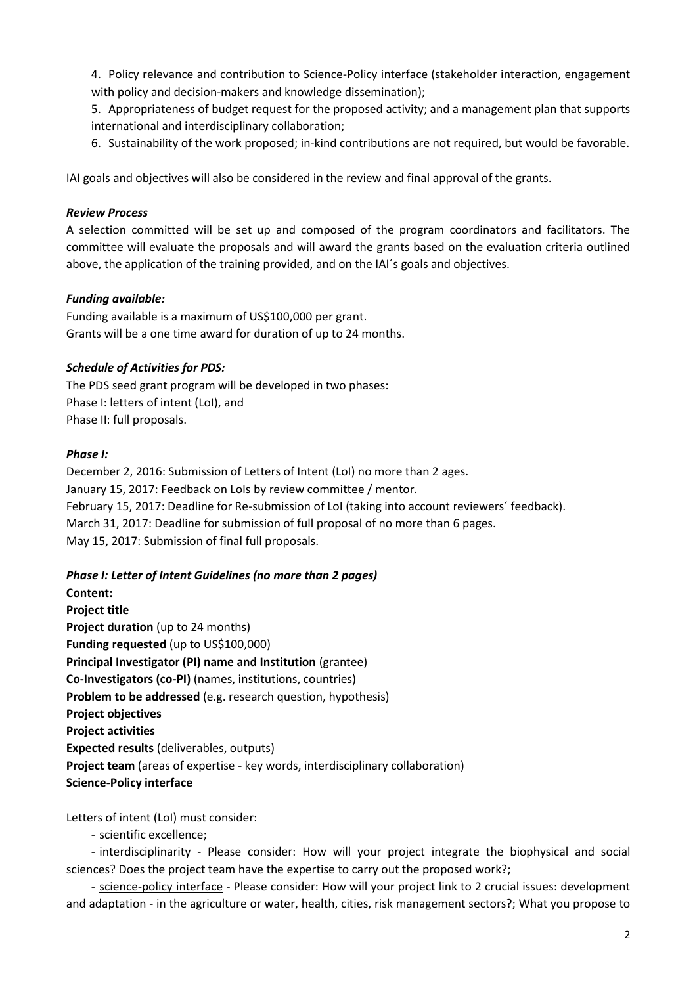4. Policy relevance and contribution to Science-Policy interface (stakeholder interaction, engagement with policy and decision-makers and knowledge dissemination);

5. Appropriateness of budget request for the proposed activity; and a management plan that supports international and interdisciplinary collaboration;

6. Sustainability of the work proposed; in-kind contributions are not required, but would be favorable.

IAI goals and objectives will also be considered in the review and final approval of the grants.

#### *Review Process*

A selection committed will be set up and composed of the program coordinators and facilitators. The committee will evaluate the proposals and will award the grants based on the evaluation criteria outlined above, the application of the training provided, and on the IAI´s goals and objectives.

#### *Funding available:*

Funding available is a maximum of US\$100,000 per grant. Grants will be a one time award for duration of up to 24 months.

#### *Schedule of Activities for PDS:*

The PDS seed grant program will be developed in two phases: Phase I: letters of intent (LoI), and Phase II: full proposals.

#### *Phase I:*

December 2, 2016: Submission of Letters of Intent (LoI) no more than 2 ages. January 15, 2017: Feedback on LoIs by review committee / mentor. February 15, 2017: Deadline for Re-submission of LoI (taking into account reviewers´ feedback). March 31, 2017: Deadline for submission of full proposal of no more than 6 pages. May 15, 2017: Submission of final full proposals.

#### *Phase I: Letter of Intent Guidelines (no more than 2 pages)*

**Content: Project title Project duration** (up to 24 months) **Funding requested** (up to US\$100,000) **Principal Investigator (PI) name and Institution** (grantee) **Co-Investigators (co-PI)** (names, institutions, countries) **Problem to be addressed** (e.g. research question, hypothesis) **Project objectives Project activities Expected results** (deliverables, outputs) **Project team** (areas of expertise - key words, interdisciplinary collaboration) **Science-Policy interface**

Letters of intent (LoI) must consider:

- scientific excellence;

- interdisciplinarity - Please consider: How will your project integrate the biophysical and social sciences? Does the project team have the expertise to carry out the proposed work?;

- science-policy interface - Please consider: How will your project link to 2 crucial issues: development and adaptation - in the agriculture or water, health, cities, risk management sectors?; What you propose to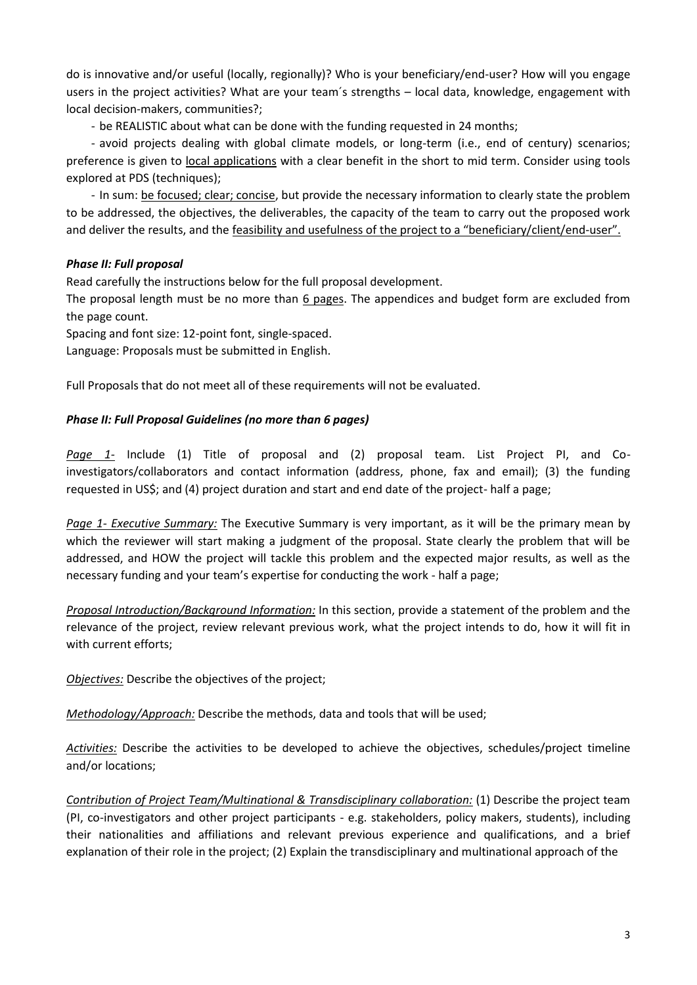do is innovative and/or useful (locally, regionally)? Who is your beneficiary/end-user? How will you engage users in the project activities? What are your team´s strengths – local data, knowledge, engagement with local decision-makers, communities?;

- be REALISTIC about what can be done with the funding requested in 24 months;

- avoid projects dealing with global climate models, or long-term (i.e., end of century) scenarios; preference is given to local applications with a clear benefit in the short to mid term. Consider using tools explored at PDS (techniques);

- In sum: be focused; clear; concise, but provide the necessary information to clearly state the problem to be addressed, the objectives, the deliverables, the capacity of the team to carry out the proposed work and deliver the results, and the feasibility and usefulness of the project to a "beneficiary/client/end-user".

#### *Phase II: Full proposal*

Read carefully the instructions below for the full proposal development.

The proposal length must be no more than 6 pages. The appendices and budget form are excluded from the page count.

Spacing and font size: 12-point font, single-spaced.

Language: Proposals must be submitted in English.

Full Proposals that do not meet all of these requirements will not be evaluated.

#### *Phase II: Full Proposal Guidelines (no more than 6 pages)*

*Page 1-* Include (1) Title of proposal and (2) proposal team. List Project PI, and Coinvestigators/collaborators and contact information (address, phone, fax and email); (3) the funding requested in US\$; and (4) project duration and start and end date of the project- half a page;

*Page 1- Executive Summary:* The Executive Summary is very important, as it will be the primary mean by which the reviewer will start making a judgment of the proposal. State clearly the problem that will be addressed, and HOW the project will tackle this problem and the expected major results, as well as the necessary funding and your team's expertise for conducting the work - half a page;

*Proposal Introduction/Background Information:* In this section, provide a statement of the problem and the relevance of the project, review relevant previous work, what the project intends to do, how it will fit in with current efforts;

*Objectives:* Describe the objectives of the project;

*Methodology/Approach:* Describe the methods, data and tools that will be used;

*Activities:* Describe the activities to be developed to achieve the objectives, schedules/project timeline and/or locations;

*Contribution of Project Team/Multinational & Transdisciplinary collaboration:* (1) Describe the project team (PI, co-investigators and other project participants - e.g. stakeholders, policy makers, students), including their nationalities and affiliations and relevant previous experience and qualifications, and a brief explanation of their role in the project; (2) Explain the transdisciplinary and multinational approach of the